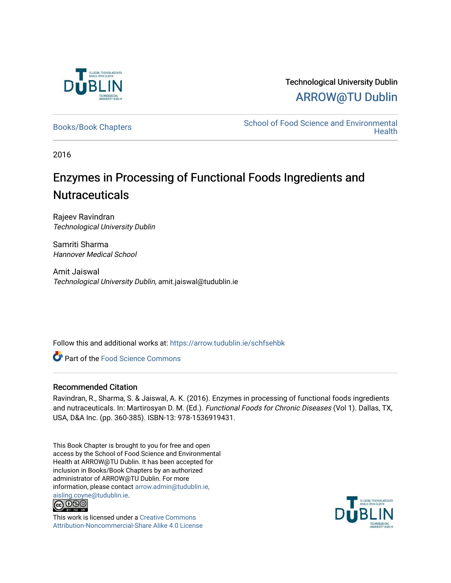

# Technological University Dublin [ARROW@TU Dublin](https://arrow.tudublin.ie/)

[Books/Book Chapters](https://arrow.tudublin.ie/schfsehbk) School of Food Science and Environmental **Health** 

2016

# Enzymes in Processing of Functional Foods Ingredients and **Nutraceuticals**

Rajeev Ravindran Technological University Dublin

Samriti Sharma Hannover Medical School

Amit Jaiswal Technological University Dublin, amit.jaiswal@tudublin.ie

Follow this and additional works at: [https://arrow.tudublin.ie/schfsehbk](https://arrow.tudublin.ie/schfsehbk?utm_source=arrow.tudublin.ie%2Fschfsehbk%2F10&utm_medium=PDF&utm_campaign=PDFCoverPages) 

Part of the [Food Science Commons](http://network.bepress.com/hgg/discipline/84?utm_source=arrow.tudublin.ie%2Fschfsehbk%2F10&utm_medium=PDF&utm_campaign=PDFCoverPages) 

#### Recommended Citation

Ravindran, R., Sharma, S. & Jaiswal, A. K. (2016). Enzymes in processing of functional foods ingredients and nutraceuticals. In: Martirosyan D. M. (Ed.). Functional Foods for Chronic Diseases (Vol 1). Dallas, TX, USA, D&A Inc. (pp. 360-385). ISBN-13: 978-1536919431.

This Book Chapter is brought to you for free and open access by the School of Food Science and Environmental Health at ARROW@TU Dublin. It has been accepted for inclusion in Books/Book Chapters by an authorized administrator of ARROW@TU Dublin. For more information, please contact [arrow.admin@tudublin.ie,](mailto:arrow.admin@tudublin.ie,%20aisling.coyne@tudublin.ie)  [aisling.coyne@tudublin.ie.](mailto:arrow.admin@tudublin.ie,%20aisling.coyne@tudublin.ie)<br>© 090



This work is licensed under a [Creative Commons](http://creativecommons.org/licenses/by-nc-sa/4.0/) [Attribution-Noncommercial-Share Alike 4.0 License](http://creativecommons.org/licenses/by-nc-sa/4.0/)

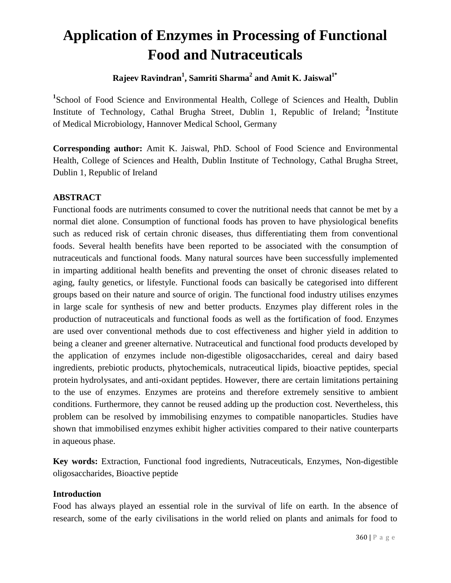# **Application of Enzymes in Processing of Functional Food and Nutraceuticals**

**Rajeev Ravindran<sup>1</sup> , Samriti Sharma 2 and Amit K. Jaiswal1\***

<sup>1</sup>School of Food Science and Environmental Health, College of Sciences and Health, Dublin Institute of Technology, Cathal Brugha Street, Dublin 1, Republic of Ireland; <sup>2</sup>Institute of Medical Microbiology, Hannover Medical School, Germany

**Corresponding author:** Amit K. Jaiswal, PhD. School of Food Science and Environmental Health, College of Sciences and Health, Dublin Institute of Technology, Cathal Brugha Street, Dublin 1, Republic of Ireland

# **ABSTRACT**

Functional foods are nutriments consumed to cover the nutritional needs that cannot be met by a normal diet alone. Consumption of functional foods has proven to have physiological benefits such as reduced risk of certain chronic diseases, thus differentiating them from conventional foods. Several health benefits have been reported to be associated with the consumption of nutraceuticals and functional foods. Many natural sources have been successfully implemented in imparting additional health benefits and preventing the onset of chronic diseases related to aging, faulty genetics, or lifestyle. Functional foods can basically be categorised into different groups based on their nature and source of origin. The functional food industry utilises enzymes in large scale for synthesis of new and better products. Enzymes play different roles in the production of nutraceuticals and functional foods as well as the fortification of food. Enzymes are used over conventional methods due to cost effectiveness and higher yield in addition to being a cleaner and greener alternative. Nutraceutical and functional food products developed by the application of enzymes include non-digestible oligosaccharides, cereal and dairy based ingredients, prebiotic products, phytochemicals, nutraceutical lipids, bioactive peptides, special protein hydrolysates, and anti-oxidant peptides. However, there are certain limitations pertaining to the use of enzymes. Enzymes are proteins and therefore extremely sensitive to ambient conditions. Furthermore, they cannot be reused adding up the production cost. Nevertheless, this problem can be resolved by immobilising enzymes to compatible nanoparticles. Studies have shown that immobilised enzymes exhibit higher activities compared to their native counterparts in aqueous phase.

**Key words:** Extraction, Functional food ingredients, Nutraceuticals, Enzymes, Non-digestible oligosaccharides, Bioactive peptide

# **Introduction**

Food has always played an essential role in the survival of life on earth. In the absence of research, some of the early civilisations in the world relied on plants and animals for food to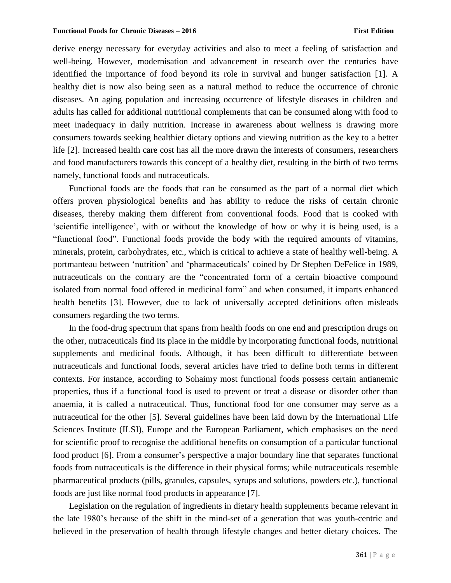derive energy necessary for everyday activities and also to meet a feeling of satisfaction and well-being. However, modernisation and advancement in research over the centuries have identified the importance of food beyond its role in survival and hunger satisfaction [1]. A healthy diet is now also being seen as a natural method to reduce the occurrence of chronic diseases. An aging population and increasing occurrence of lifestyle diseases in children and adults has called for additional nutritional complements that can be consumed along with food to meet inadequacy in daily nutrition. Increase in awareness about wellness is drawing more consumers towards seeking healthier dietary options and viewing nutrition as the key to a better life [2]. Increased health care cost has all the more drawn the interests of consumers, researchers and food manufacturers towards this concept of a healthy diet, resulting in the birth of two terms namely, functional foods and nutraceuticals.

Functional foods are the foods that can be consumed as the part of a normal diet which offers proven physiological benefits and has ability to reduce the risks of certain chronic diseases, thereby making them different from conventional foods. Food that is cooked with 'scientific intelligence', with or without the knowledge of how or why it is being used, is a "functional food". Functional foods provide the body with the required amounts of vitamins, minerals, protein, carbohydrates, etc., which is critical to achieve a state of healthy well-being. A portmanteau between 'nutrition' and 'pharmaceuticals' coined by Dr Stephen DeFelice in 1989, nutraceuticals on the contrary are the "concentrated form of a certain bioactive compound isolated from normal food offered in medicinal form" and when consumed, it imparts enhanced health benefits [3]. However, due to lack of universally accepted definitions often misleads consumers regarding the two terms.

In the food-drug spectrum that spans from health foods on one end and prescription drugs on the other, nutraceuticals find its place in the middle by incorporating functional foods, nutritional supplements and medicinal foods. Although, it has been difficult to differentiate between nutraceuticals and functional foods, several articles have tried to define both terms in different contexts. For instance, according to Sohaimy most functional foods possess certain antianemic properties, thus if a functional food is used to prevent or treat a disease or disorder other than anaemia, it is called a nutraceutical. Thus, functional food for one consumer may serve as a nutraceutical for the other [5]. Several guidelines have been laid down by the International Life Sciences Institute (ILSI), Europe and the European Parliament, which emphasises on the need for scientific proof to recognise the additional benefits on consumption of a particular functional food product [6]. From a consumer's perspective a major boundary line that separates functional foods from nutraceuticals is the difference in their physical forms; while nutraceuticals resemble pharmaceutical products (pills, granules, capsules, syrups and solutions, powders etc.), functional foods are just like normal food products in appearance [7].

Legislation on the regulation of ingredients in dietary health supplements became relevant in the late 1980's because of the shift in the mind-set of a generation that was youth-centric and believed in the preservation of health through lifestyle changes and better dietary choices. The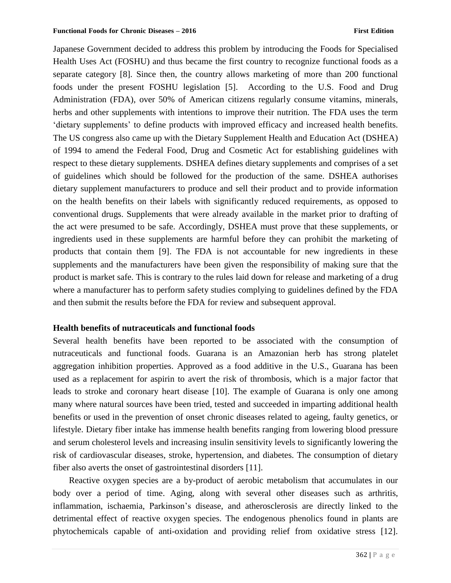Japanese Government decided to address this problem by introducing the Foods for Specialised Health Uses Act (FOSHU) and thus became the first country to recognize functional foods as a separate category [8]. Since then, the country allows marketing of more than 200 functional foods under the present FOSHU legislation [5]. According to the U.S. Food and Drug Administration (FDA), over 50% of American citizens regularly consume vitamins, minerals, herbs and other supplements with intentions to improve their nutrition. The FDA uses the term 'dietary supplements' to define products with improved efficacy and increased health benefits. The US congress also came up with the Dietary Supplement Health and Education Act (DSHEA) of 1994 to amend the Federal Food, Drug and Cosmetic Act for establishing guidelines with respect to these dietary supplements. DSHEA defines dietary supplements and comprises of a set of guidelines which should be followed for the production of the same. DSHEA authorises dietary supplement manufacturers to produce and sell their product and to provide information on the health benefits on their labels with significantly reduced requirements, as opposed to conventional drugs. Supplements that were already available in the market prior to drafting of the act were presumed to be safe. Accordingly, DSHEA must prove that these supplements, or ingredients used in these supplements are harmful before they can prohibit the marketing of products that contain them [9]. The FDA is not accountable for new ingredients in these supplements and the manufacturers have been given the responsibility of making sure that the product is market safe. This is contrary to the rules laid down for release and marketing of a drug where a manufacturer has to perform safety studies complying to guidelines defined by the FDA and then submit the results before the FDA for review and subsequent approval.

#### **Health benefits of nutraceuticals and functional foods**

Several health benefits have been reported to be associated with the consumption of nutraceuticals and functional foods. Guarana is an Amazonian herb has strong platelet aggregation inhibition properties. Approved as a food additive in the U.S., Guarana has been used as a replacement for aspirin to avert the risk of thrombosis, which is a major factor that leads to stroke and coronary heart disease [10]. The example of Guarana is only one among many where natural sources have been tried, tested and succeeded in imparting additional health benefits or used in the prevention of onset chronic diseases related to ageing, faulty genetics, or lifestyle. Dietary fiber intake has immense health benefits ranging from lowering blood pressure and serum cholesterol levels and increasing insulin sensitivity levels to significantly lowering the risk of cardiovascular diseases, stroke, hypertension, and diabetes. The consumption of dietary fiber also averts the onset of gastrointestinal disorders [11].

Reactive oxygen species are a by-product of aerobic metabolism that accumulates in our body over a period of time. Aging, along with several other diseases such as arthritis, inflammation, ischaemia, Parkinson's disease, and atherosclerosis are directly linked to the detrimental effect of reactive oxygen species. The endogenous phenolics found in plants are phytochemicals capable of anti-oxidation and providing relief from oxidative stress [12].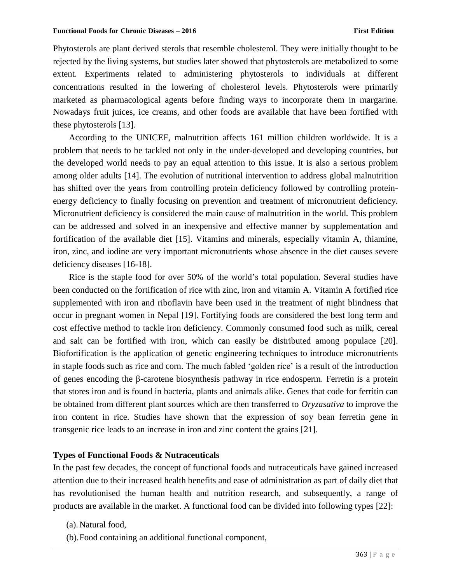Phytosterols are plant derived sterols that resemble cholesterol. They were initially thought to be rejected by the living systems, but studies later showed that phytosterols are metabolized to some extent. Experiments related to administering phytosterols to individuals at different concentrations resulted in the lowering of cholesterol levels. Phytosterols were primarily marketed as pharmacological agents before finding ways to incorporate them in margarine. Nowadays fruit juices, ice creams, and other foods are available that have been fortified with these phytosterols [13].

According to the UNICEF, malnutrition affects 161 million children worldwide. It is a problem that needs to be tackled not only in the under-developed and developing countries, but the developed world needs to pay an equal attention to this issue. It is also a serious problem among older adults [14]. The evolution of nutritional intervention to address global malnutrition has shifted over the years from controlling protein deficiency followed by controlling proteinenergy deficiency to finally focusing on prevention and treatment of micronutrient deficiency. Micronutrient deficiency is considered the main cause of malnutrition in the world. This problem can be addressed and solved in an inexpensive and effective manner by supplementation and fortification of the available diet [15]. Vitamins and minerals, especially vitamin A, thiamine, iron, zinc, and iodine are very important micronutrients whose absence in the diet causes severe deficiency diseases [16-18].

Rice is the staple food for over 50% of the world's total population. Several studies have been conducted on the fortification of rice with zinc, iron and vitamin A. Vitamin A fortified rice supplemented with iron and riboflavin have been used in the treatment of night blindness that occur in pregnant women in Nepal [19]. Fortifying foods are considered the best long term and cost effective method to tackle iron deficiency. Commonly consumed food such as milk, cereal and salt can be fortified with iron, which can easily be distributed among populace [20]. Biofortification is the application of genetic engineering techniques to introduce micronutrients in staple foods such as rice and corn. The much fabled 'golden rice' is a result of the introduction of genes encoding the β-carotene biosynthesis pathway in rice endosperm. Ferretin is a protein that stores iron and is found in bacteria, plants and animals alike. Genes that code for ferritin can be obtained from different plant sources which are then transferred to *Oryzasativa* to improve the iron content in rice. Studies have shown that the expression of soy bean ferretin gene in transgenic rice leads to an increase in iron and zinc content the grains [21].

#### **Types of Functional Foods & Nutraceuticals**

In the past few decades, the concept of functional foods and nutraceuticals have gained increased attention due to their increased health benefits and ease of administration as part of daily diet that has revolutionised the human health and nutrition research, and subsequently, a range of products are available in the market. A functional food can be divided into following types [22]:

- (a).Natural food,
- (b).Food containing an additional functional component,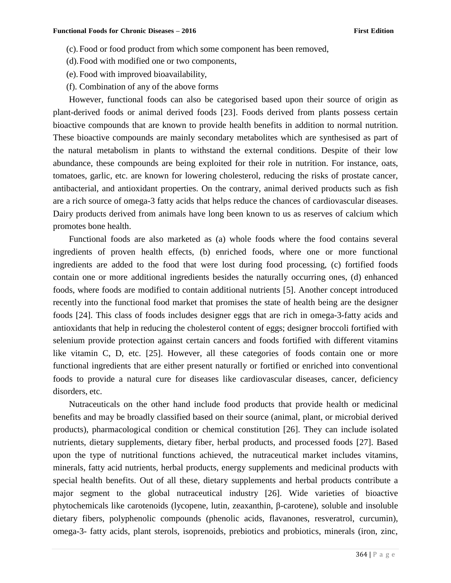- (c). Food or food product from which some component has been removed,
- (d).Food with modified one or two components,
- (e). Food with improved bioavailability,
- (f). Combination of any of the above forms

However, functional foods can also be categorised based upon their source of origin as plant-derived foods or animal derived foods [23]. Foods derived from plants possess certain bioactive compounds that are known to provide health benefits in addition to normal nutrition. These bioactive compounds are mainly secondary metabolites which are synthesised as part of the natural metabolism in plants to withstand the external conditions. Despite of their low abundance, these compounds are being exploited for their role in nutrition. For instance, oats, tomatoes, garlic, etc. are known for lowering cholesterol, reducing the risks of prostate cancer, antibacterial, and antioxidant properties. On the contrary, animal derived products such as fish are a rich source of omega-3 fatty acids that helps reduce the chances of cardiovascular diseases. Dairy products derived from animals have long been known to us as reserves of calcium which promotes bone health.

Functional foods are also marketed as (a) whole foods where the food contains several ingredients of proven health effects, (b) enriched foods, where one or more functional ingredients are added to the food that were lost during food processing, (c) fortified foods contain one or more additional ingredients besides the naturally occurring ones, (d) enhanced foods, where foods are modified to contain additional nutrients [5]. Another concept introduced recently into the functional food market that promises the state of health being are the designer foods [24]. This class of foods includes designer eggs that are rich in omega-3-fatty acids and antioxidants that help in reducing the cholesterol content of eggs; designer broccoli fortified with selenium provide protection against certain cancers and foods fortified with different vitamins like vitamin C, D, etc. [25]. However, all these categories of foods contain one or more functional ingredients that are either present naturally or fortified or enriched into conventional foods to provide a natural cure for diseases like cardiovascular diseases, cancer, deficiency disorders, etc.

Nutraceuticals on the other hand include food products that provide health or medicinal benefits and may be broadly classified based on their source (animal, plant, or microbial derived products), pharmacological condition or chemical constitution [26]. They can include isolated nutrients, dietary supplements, dietary fiber, herbal products, and processed foods [27]. Based upon the type of nutritional functions achieved, the nutraceutical market includes vitamins, minerals, fatty acid nutrients, herbal products, energy supplements and medicinal products with special health benefits. Out of all these, dietary supplements and herbal products contribute a major segment to the global nutraceutical industry [26]. Wide varieties of bioactive phytochemicals like carotenoids (lycopene, lutin, zeaxanthin, β-carotene), soluble and insoluble dietary fibers, polyphenolic compounds (phenolic acids, flavanones, resveratrol, curcumin), omega-3- fatty acids, plant sterols, isoprenoids, prebiotics and probiotics, minerals (iron, zinc,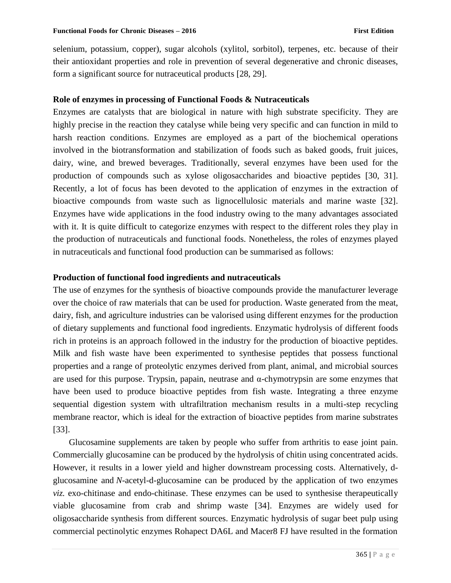selenium, potassium, copper), sugar alcohols (xylitol, sorbitol), terpenes, etc. because of their their antioxidant properties and role in prevention of several degenerative and chronic diseases, form a significant source for nutraceutical products [28, 29].

#### **Role of enzymes in processing of Functional Foods & Nutraceuticals**

Enzymes are catalysts that are biological in nature with high substrate specificity. They are highly precise in the reaction they catalyse while being very specific and can function in mild to harsh reaction conditions. Enzymes are employed as a part of the biochemical operations involved in the biotransformation and stabilization of foods such as baked goods, fruit juices, dairy, wine, and brewed beverages. Traditionally, several enzymes have been used for the production of compounds such as xylose oligosaccharides and bioactive peptides [30, 31]. Recently, a lot of focus has been devoted to the application of enzymes in the extraction of bioactive compounds from waste such as lignocellulosic materials and marine waste [32]. Enzymes have wide applications in the food industry owing to the many advantages associated with it. It is quite difficult to categorize enzymes with respect to the different roles they play in the production of nutraceuticals and functional foods. Nonetheless, the roles of enzymes played in nutraceuticals and functional food production can be summarised as follows:

#### **Production of functional food ingredients and nutraceuticals**

The use of enzymes for the synthesis of bioactive compounds provide the manufacturer leverage over the choice of raw materials that can be used for production. Waste generated from the meat, dairy, fish, and agriculture industries can be valorised using different enzymes for the production of dietary supplements and functional food ingredients. Enzymatic hydrolysis of different foods rich in proteins is an approach followed in the industry for the production of bioactive peptides. Milk and fish waste have been experimented to synthesise peptides that possess functional properties and a range of proteolytic enzymes derived from plant, animal, and microbial sources are used for this purpose. Trypsin, papain, neutrase and  $\alpha$ -chymotrypsin are some enzymes that have been used to produce bioactive peptides from fish waste. Integrating a three enzyme sequential digestion system with ultrafiltration mechanism results in a multi-step recycling membrane reactor, which is ideal for the extraction of bioactive peptides from marine substrates [33].

Glucosamine supplements are taken by people who suffer from arthritis to ease joint pain. Commercially glucosamine can be produced by the hydrolysis of chitin using concentrated acids. However, it results in a lower yield and higher downstream processing costs. Alternatively, dglucosamine and *N*-acetyl-d-glucosamine can be produced by the application of two enzymes *viz.* exo-chitinase and endo-chitinase. These enzymes can be used to synthesise therapeutically viable glucosamine from crab and shrimp waste [34]. Enzymes are widely used for oligosaccharide synthesis from different sources. Enzymatic hydrolysis of sugar beet pulp using commercial pectinolytic enzymes Rohapect DA6L and Macer8 FJ have resulted in the formation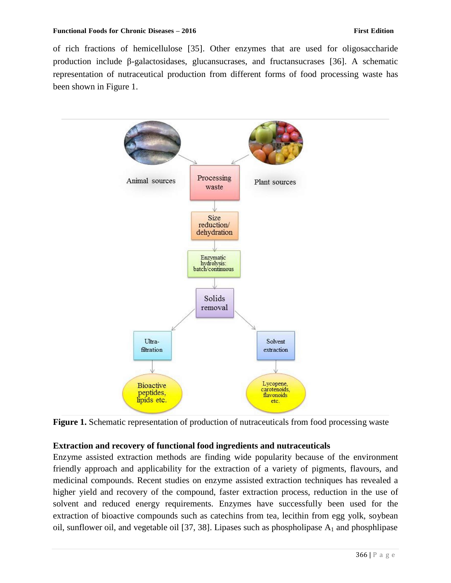of rich fractions of hemicellulose [35]. Other enzymes that are used for oligosaccharide production include β-galactosidases, glucansucrases, and fructansucrases [36]. A schematic representation of nutraceutical production from different forms of food processing waste has been shown in Figure 1.



**Figure 1.** Schematic representation of production of nutraceuticals from food processing waste

# **Extraction and recovery of functional food ingredients and nutraceuticals**

Enzyme assisted extraction methods are finding wide popularity because of the environment friendly approach and applicability for the extraction of a variety of pigments, flavours, and medicinal compounds. Recent studies on enzyme assisted extraction techniques has revealed a higher yield and recovery of the compound, faster extraction process, reduction in the use of solvent and reduced energy requirements. Enzymes have successfully been used for the extraction of bioactive compounds such as catechins from tea, lecithin from egg yolk, soybean oil, sunflower oil, and vegetable oil [37, 38]. Lipases such as phospholipase  $A_1$  and phosphlipase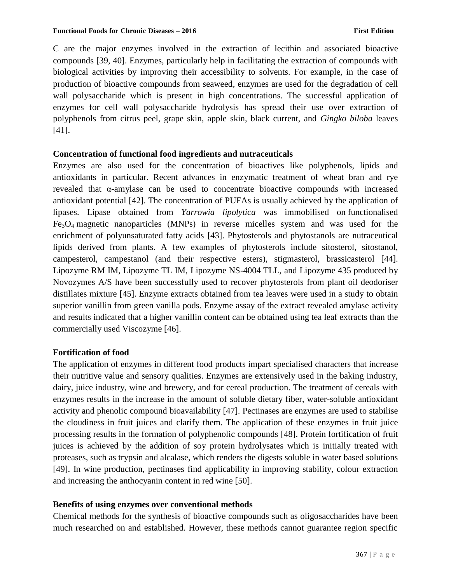C are the major enzymes involved in the extraction of lecithin and associated bioactive compounds [39, 40]. Enzymes, particularly help in facilitating the extraction of compounds with biological activities by improving their accessibility to solvents. For example, in the case of production of bioactive compounds from seaweed, enzymes are used for the degradation of cell wall polysaccharide which is present in high concentrations. The successful application of enzymes for cell wall polysaccharide hydrolysis has spread their use over extraction of polyphenols from citrus peel, grape skin, apple skin, black current, and *Gingko biloba* leaves [41].

# **Concentration of functional food ingredients and nutraceuticals**

Enzymes are also used for the concentration of bioactives like polyphenols, lipids and antioxidants in particular. Recent advances in enzymatic treatment of wheat bran and rye revealed that α-amylase can be used to concentrate bioactive compounds with increased antioxidant potential [42]. The concentration of PUFAs is usually achieved by the application of lipases. Lipase obtained from *Yarrowia lipolytica* was immobilised on functionalised  $Fe<sub>3</sub>O<sub>4</sub>$  magnetic nanoparticles (MNPs) in reverse micelles system and was used for the enrichment of polyunsaturated fatty acids [43]. Phytosterols and phytostanols are nutraceutical lipids derived from plants. A few examples of phytosterols include sitosterol, sitostanol, campesterol, campestanol (and their respective esters), stigmasterol, brassicasterol [44]. Lipozyme RM IM, Lipozyme TL IM, Lipozyme NS-4004 TLL, and Lipozyme 435 produced by Novozymes A/S have been successfully used to recover phytosterols from plant oil deodoriser distillates mixture [45]. Enzyme extracts obtained from tea leaves were used in a study to obtain superior vanillin from green vanilla pods. Enzyme assay of the extract revealed amylase activity and results indicated that a higher vanillin content can be obtained using tea leaf extracts than the commercially used Viscozyme [46].

# **Fortification of food**

The application of enzymes in different food products impart specialised characters that increase their nutritive value and sensory qualities. Enzymes are extensively used in the baking industry, dairy, juice industry, wine and brewery, and for cereal production. The treatment of cereals with enzymes results in the increase in the amount of soluble dietary fiber, water-soluble antioxidant activity and phenolic compound bioavailability [47]. Pectinases are enzymes are used to stabilise the cloudiness in fruit juices and clarify them. The application of these enzymes in fruit juice processing results in the formation of polyphenolic compounds [48]. Protein fortification of fruit juices is achieved by the addition of soy protein hydrolysates which is initially treated with proteases, such as trypsin and alcalase, which renders the digests soluble in water based solutions [49]. In wine production, pectinases find applicability in improving stability, colour extraction and increasing the anthocyanin content in red wine [50].

# **Benefits of using enzymes over conventional methods**

Chemical methods for the synthesis of bioactive compounds such as oligosaccharides have been much researched on and established. However, these methods cannot guarantee region specific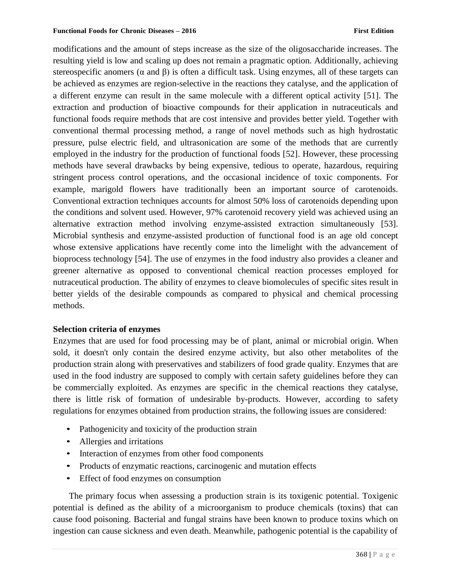modifications and the amount of steps increase as the size of the oligosaccharide increases. The resulting yield is low and scaling up does not remain a pragmatic option. Additionally, achieving stereospecific anomers ( $\alpha$  and  $\beta$ ) is often a difficult task. Using enzymes, all of these targets can be achieved as enzymes are region-selective in the reactions they catalyse, and the application of a different enzyme can result in the same molecule with a different optical activity [51]. The extraction and production of bioactive compounds for their application in nutraceuticals and functional foods require methods that are cost intensive and provides better yield. Together with conventional thermal processing method, a range of novel methods such as high hydrostatic pressure, pulse electric field, and ultrasonication are some of the methods that are currently employed in the industry for the production of functional foods [52]. However, these processing methods have several drawbacks by being expensive, tedious to operate, hazardous, requiring stringent process control operations, and the occasional incidence of toxic components. For example, marigold flowers have traditionally been an important source of carotenoids. Conventional extraction techniques accounts for almost 50% loss of carotenoids depending upon the conditions and solvent used. However, 97% carotenoid recovery yield was achieved using an alternative extraction method involving enzyme-assisted extraction simultaneously [53]. Microbial synthesis and enzyme-assisted production of functional food is an age old concept whose extensive applications have recently come into the limelight with the advancement of bioprocess technology [54]. The use of enzymes in the food industry also provides a cleaner and greener alternative as opposed to conventional chemical reaction processes employed for nutraceutical production. The ability of enzymes to cleave biomolecules of specific sites result in better yields of the desirable compounds as compared to physical and chemical processing methods.

#### **Selection criteria of enzymes**

Enzymes that are used for food processing may be of plant, animal or microbial origin. When sold, it doesn't only contain the desired enzyme activity, but also other metabolites of the production strain along with preservatives and stabilizers of food grade quality. Enzymes that are used in the food industry are supposed to comply with certain safety guidelines before they can be commercially exploited. As enzymes are specific in the chemical reactions they catalyse, there is little risk of formation of undesirable by-products. However, according to safety regulations for enzymes obtained from production strains, the following issues are considered:

- Pathogenicity and toxicity of the production strain
- Allergies and irritations
- Interaction of enzymes from other food components
- Products of enzymatic reactions, carcinogenic and mutation effects
- Effect of food enzymes on consumption

The primary focus when assessing a production strain is its toxigenic potential. Toxigenic potential is defined as the ability of a microorganism to produce chemicals (toxins) that can cause food poisoning. Bacterial and fungal strains have been known to produce toxins which on ingestion can cause sickness and even death. Meanwhile, pathogenic potential is the capability of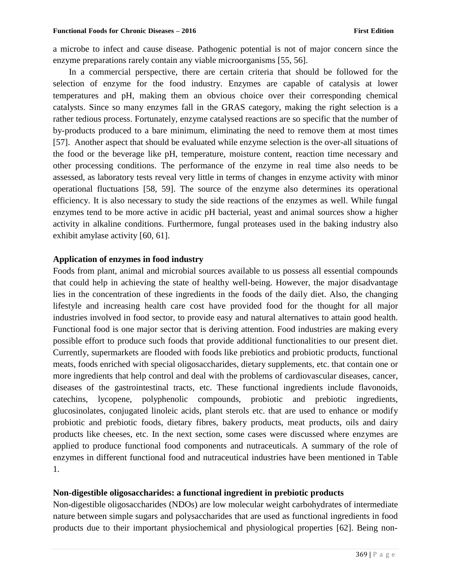a microbe to infect and cause disease. Pathogenic potential is not of major concern since the enzyme preparations rarely contain any viable microorganisms [55, 56].

In a commercial perspective, there are certain criteria that should be followed for the selection of enzyme for the food industry. Enzymes are capable of catalysis at lower temperatures and pH, making them an obvious choice over their corresponding chemical catalysts. Since so many enzymes fall in the GRAS category, making the right selection is a rather tedious process. Fortunately, enzyme catalysed reactions are so specific that the number of by-products produced to a bare minimum, eliminating the need to remove them at most times [57]. Another aspect that should be evaluated while enzyme selection is the over-all situations of the food or the beverage like pH, temperature, moisture content, reaction time necessary and other processing conditions. The performance of the enzyme in real time also needs to be assessed, as laboratory tests reveal very little in terms of changes in enzyme activity with minor operational fluctuations [58, 59]. The source of the enzyme also determines its operational efficiency. It is also necessary to study the side reactions of the enzymes as well. While fungal enzymes tend to be more active in acidic pH bacterial, yeast and animal sources show a higher activity in alkaline conditions. Furthermore, fungal proteases used in the baking industry also exhibit amylase activity [60, 61].

#### **Application of enzymes in food industry**

Foods from plant, animal and microbial sources available to us possess all essential compounds that could help in achieving the state of healthy well-being. However, the major disadvantage lies in the concentration of these ingredients in the foods of the daily diet. Also, the changing lifestyle and increasing health care cost have provided food for the thought for all major industries involved in food sector, to provide easy and natural alternatives to attain good health. Functional food is one major sector that is deriving attention. Food industries are making every possible effort to produce such foods that provide additional functionalities to our present diet. Currently, supermarkets are flooded with foods like prebiotics and probiotic products, functional meats, foods enriched with special oligosaccharides, dietary supplements, etc. that contain one or more ingredients that help control and deal with the problems of cardiovascular diseases, cancer, diseases of the gastrointestinal tracts, etc. These functional ingredients include flavonoids, catechins, lycopene, polyphenolic compounds, probiotic and prebiotic ingredients, glucosinolates, conjugated linoleic acids, plant sterols etc. that are used to enhance or modify probiotic and prebiotic foods, dietary fibres, bakery products, meat products, oils and dairy products like cheeses, etc. In the next section, some cases were discussed where enzymes are applied to produce functional food components and nutraceuticals. A summary of the role of enzymes in different functional food and nutraceutical industries have been mentioned in Table 1.

#### **Non-digestible oligosaccharides: a functional ingredient in prebiotic products**

Non-digestible oligosaccharides (NDOs) are low molecular weight carbohydrates of intermediate nature between simple sugars and polysaccharides that are used as functional ingredients in food products due to their important physiochemical and physiological properties [62]. Being non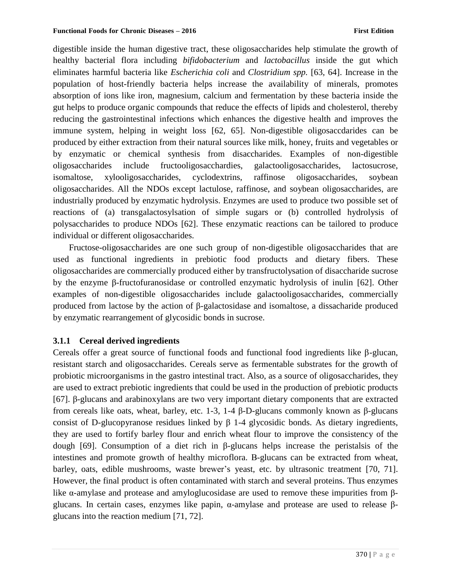digestible inside the human digestive tract, these oligosaccharides help stimulate the growth of healthy bacterial flora including *bifidobacterium* and *lactobacillus* inside the gut which eliminates harmful bacteria like *Escherichia coli* and *Clostridium spp.* [63, 64]. Increase in the population of host-friendly bacteria helps increase the availability of minerals, promotes absorption of ions like iron, magnesium, calcium and fermentation by these bacteria inside the gut helps to produce organic compounds that reduce the effects of lipids and cholesterol, thereby reducing the gastrointestinal infections which enhances the digestive health and improves the immune system, helping in weight loss [62, 65]. Non-digestible oligosaccdarides can be produced by either extraction from their natural sources like milk, honey, fruits and vegetables or by enzymatic or chemical synthesis from disaccharides. Examples of non-digestible oligosaccharides include fructooligosacchardies, galactooligosaccharides, lactosucrose, isomaltose, xylooligosaccharides, cyclodextrins, raffinose oligosaccharides, soybean oligosaccharides. All the NDOs except lactulose, raffinose, and soybean oligosaccharides, are industrially produced by enzymatic hydrolysis. Enzymes are used to produce two possible set of reactions of (a) transgalactosylsation of simple sugars or (b) controlled hydrolysis of polysaccharides to produce NDOs [62]. These enzymatic reactions can be tailored to produce individual or different oligosaccharides.

Fructose-oligosaccharides are one such group of non-digestible oligosaccharides that are used as functional ingredients in prebiotic food products and dietary fibers. These oligosaccharides are commercially produced either by transfructolysation of disaccharide sucrose by the enzyme β-fructofuranosidase or controlled enzymatic hydrolysis of inulin [62]. Other examples of non-digestible oligosaccharides include galactooligosaccharides, commercially produced from lactose by the action of β-galactosidase and isomaltose, a dissacharide produced by enzymatic rearrangement of glycosidic bonds in sucrose.

#### **3.1.1 Cereal derived ingredients**

Cereals offer a great source of functional foods and functional food ingredients like β-glucan, resistant starch and oligosaccharides. Cereals serve as fermentable substrates for the growth of probiotic microorganisms in the gastro intestinal tract. Also, as a source of oligosaccharides, they are used to extract prebiotic ingredients that could be used in the production of prebiotic products [67]. β-glucans and arabinoxylans are two very important dietary components that are extracted from cereals like oats, wheat, barley, etc. 1-3, 1-4 β-D-glucans commonly known as β-glucans consist of D-glucopyranose residues linked by β 1-4 glycosidic bonds. As dietary ingredients, they are used to fortify barley flour and enrich wheat flour to improve the consistency of the dough [69]. Consumption of a diet rich in β-glucans helps increase the peristalsis of the intestines and promote growth of healthy microflora. Β-glucans can be extracted from wheat, barley, oats, edible mushrooms, waste brewer's yeast, etc. by ultrasonic treatment [70, 71]. However, the final product is often contaminated with starch and several proteins. Thus enzymes like  $\alpha$ -amylase and protease and amyloglucosidase are used to remove these impurities from  $\beta$ glucans. In certain cases, enzymes like papin, α-amylase and protease are used to release βglucans into the reaction medium [71, 72].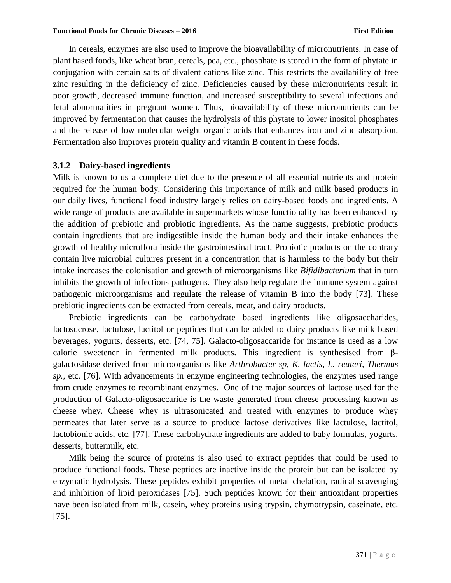In cereals, enzymes are also used to improve the bioavailability of micronutrients. In case of plant based foods, like wheat bran, cereals, pea, etc., phosphate is stored in the form of phytate in conjugation with certain salts of divalent cations like zinc. This restricts the availability of free zinc resulting in the deficiency of zinc. Deficiencies caused by these micronutrients result in poor growth, decreased immune function, and increased susceptibility to several infections and fetal abnormalities in pregnant women. Thus, bioavailability of these micronutrients can be improved by fermentation that causes the hydrolysis of this phytate to lower inositol phosphates and the release of low molecular weight organic acids that enhances iron and zinc absorption. Fermentation also improves protein quality and vitamin B content in these foods.

## **3.1.2 Dairy-based ingredients**

Milk is known to us a complete diet due to the presence of all essential nutrients and protein required for the human body. Considering this importance of milk and milk based products in our daily lives, functional food industry largely relies on dairy-based foods and ingredients. A wide range of products are available in supermarkets whose functionality has been enhanced by the addition of prebiotic and probiotic ingredients. As the name suggests, prebiotic products contain ingredients that are indigestible inside the human body and their intake enhances the growth of healthy microflora inside the gastrointestinal tract. Probiotic products on the contrary contain live microbial cultures present in a concentration that is harmless to the body but their intake increases the colonisation and growth of microorganisms like *Bifidibacterium* that in turn inhibits the growth of infections pathogens. They also help regulate the immune system against pathogenic microorganisms and regulate the release of vitamin B into the body [73]. These prebiotic ingredients can be extracted from cereals, meat, and dairy products.

Prebiotic ingredients can be carbohydrate based ingredients like oligosaccharides, lactosucrose, lactulose, lactitol or peptides that can be added to dairy products like milk based beverages, yogurts, desserts, etc. [74, 75]. Galacto-oligosaccaride for instance is used as a low calorie sweetener in fermented milk products. This ingredient is synthesised from βgalactosidase derived from microorganisms like *Arthrobacter sp, K. lactis, L. reuteri, Thermus sp.*, etc. [76]. With advancements in enzyme engineering technologies, the enzymes used range from crude enzymes to recombinant enzymes. One of the major sources of lactose used for the production of Galacto-oligosaccaride is the waste generated from cheese processing known as cheese whey. Cheese whey is ultrasonicated and treated with enzymes to produce whey permeates that later serve as a source to produce lactose derivatives like lactulose, lactitol, lactobionic acids, etc. [77]. These carbohydrate ingredients are added to baby formulas, yogurts, desserts, buttermilk, etc.

Milk being the source of proteins is also used to extract peptides that could be used to produce functional foods. These peptides are inactive inside the protein but can be isolated by enzymatic hydrolysis. These peptides exhibit properties of metal chelation, radical scavenging and inhibition of lipid peroxidases [75]. Such peptides known for their antioxidant properties have been isolated from milk, casein, whey proteins using trypsin, chymotrypsin, caseinate, etc. [75].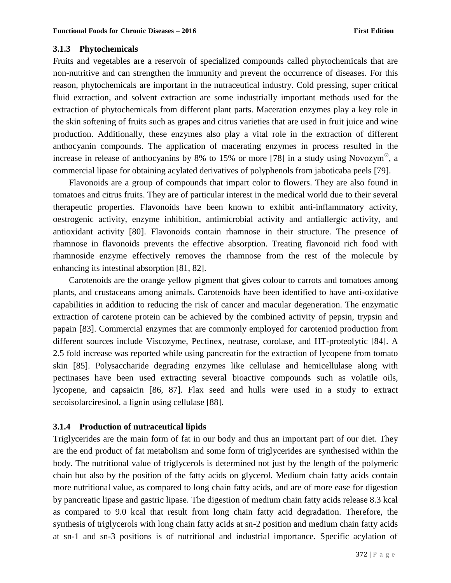## **3.1.3 Phytochemicals**

Fruits and vegetables are a reservoir of specialized compounds called phytochemicals that are non-nutritive and can strengthen the immunity and prevent the occurrence of diseases. For this reason, phytochemicals are important in the nutraceutical industry. Cold pressing, super critical fluid extraction, and solvent extraction are some industrially important methods used for the extraction of phytochemicals from different plant parts. Maceration enzymes play a key role in the skin softening of fruits such as grapes and citrus varieties that are used in fruit juice and wine production. Additionally, these enzymes also play a vital role in the extraction of different anthocyanin compounds. The application of macerating enzymes in process resulted in the increase in release of anthocyanins by 8% to 15% or more [78] in a study using Novozym<sup>®</sup>, a commercial lipase for obtaining acylated derivatives of polyphenols from jaboticaba peels [79].

Flavonoids are a group of compounds that impart color to flowers. They are also found in tomatoes and citrus fruits. They are of particular interest in the medical world due to their several therapeutic properties. Flavonoids have been known to exhibit anti-inflammatory activity, oestrogenic activity, enzyme inhibition, antimicrobial activity and antiallergic activity, and antioxidant activity [80]. Flavonoids contain rhamnose in their structure. The presence of rhamnose in flavonoids prevents the effective absorption. Treating flavonoid rich food with rhamnoside enzyme effectively removes the rhamnose from the rest of the molecule by enhancing its intestinal absorption [81, 82].

Carotenoids are the orange yellow pigment that gives colour to carrots and tomatoes among plants, and crustaceans among animals. Carotenoids have been identified to have anti-oxidative capabilities in addition to reducing the risk of cancer and macular degeneration. The enzymatic extraction of carotene protein can be achieved by the combined activity of pepsin, trypsin and papain [83]. Commercial enzymes that are commonly employed for caroteniod production from different sources include Viscozyme, Pectinex, neutrase, corolase, and HT-proteolytic [84]. A 2.5 fold increase was reported while using pancreatin for the extraction of lycopene from tomato skin [85]. Polysaccharide degrading enzymes like cellulase and hemicellulase along with pectinases have been used extracting several bioactive compounds such as volatile oils, lycopene, and capsaicin [86, 87]. Flax seed and hulls were used in a study to extract secoisolarciresinol, a lignin using cellulase [88].

# **3.1.4 Production of nutraceutical lipids**

Triglycerides are the main form of fat in our body and thus an important part of our diet. They are the end product of fat metabolism and some form of triglycerides are synthesised within the body. The nutritional value of triglycerols is determined not just by the length of the polymeric chain but also by the position of the fatty acids on glycerol. Medium chain fatty acids contain more nutritional value, as compared to long chain fatty acids, and are of more ease for digestion by pancreatic lipase and gastric lipase. The digestion of medium chain fatty acids release 8.3 kcal as compared to 9.0 kcal that result from long chain fatty acid degradation. Therefore, the synthesis of triglycerols with long chain fatty acids at sn-2 position and medium chain fatty acids at sn-1 and sn-3 positions is of nutritional and industrial importance. Specific acylation of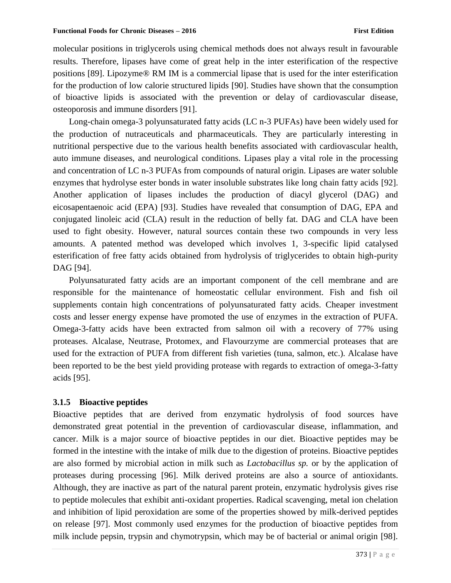molecular positions in triglycerols using chemical methods does not always result in favourable results. Therefore, lipases have come of great help in the inter esterification of the respective positions [89]. Lipozyme® RM IM is a commercial lipase that is used for the inter esterification for the production of low calorie structured lipids [90]. Studies have shown that the consumption of bioactive lipids is associated with the prevention or delay of cardiovascular disease, osteoporosis and immune disorders [91].

Long-chain omega-3 polyunsaturated fatty acids (LC n-3 PUFAs) have been widely used for the production of nutraceuticals and pharmaceuticals. They are particularly interesting in nutritional perspective due to the various health benefits associated with cardiovascular health, auto immune diseases, and neurological conditions. Lipases play a vital role in the processing and concentration of LC n-3 PUFAs from compounds of natural origin. Lipases are water soluble enzymes that hydrolyse ester bonds in water insoluble substrates like long chain fatty acids [92]. Another application of lipases includes the production of diacyl glycerol (DAG) and eicosapentaenoic acid (EPA) [93]. Studies have revealed that consumption of DAG, EPA and conjugated linoleic acid (CLA) result in the reduction of belly fat. DAG and CLA have been used to fight obesity. However, natural sources contain these two compounds in very less amounts. A patented method was developed which involves 1, 3-specific lipid catalysed esterification of free fatty acids obtained from hydrolysis of triglycerides to obtain high-purity DAG [94].

Polyunsaturated fatty acids are an important component of the cell membrane and are responsible for the maintenance of homeostatic cellular environment. Fish and fish oil supplements contain high concentrations of polyunsaturated fatty acids. Cheaper investment costs and lesser energy expense have promoted the use of enzymes in the extraction of PUFA. Omega-3-fatty acids have been extracted from salmon oil with a recovery of 77% using proteases. Alcalase, Neutrase, Protomex, and Flavourzyme are commercial proteases that are used for the extraction of PUFA from different fish varieties (tuna, salmon, etc.). Alcalase have been reported to be the best yield providing protease with regards to extraction of omega-3-fatty acids [95].

#### **3.1.5 Bioactive peptides**

Bioactive peptides that are derived from enzymatic hydrolysis of food sources have demonstrated great potential in the prevention of cardiovascular disease, inflammation, and cancer. Milk is a major source of bioactive peptides in our diet. Bioactive peptides may be formed in the intestine with the intake of milk due to the digestion of proteins. Bioactive peptides are also formed by microbial action in milk such as *Lactobacillus sp.* or by the application of proteases during processing [96]. Milk derived proteins are also a source of antioxidants. Although, they are inactive as part of the natural parent protein, enzymatic hydrolysis gives rise to peptide molecules that exhibit anti-oxidant properties. Radical scavenging, metal ion chelation and inhibition of lipid peroxidation are some of the properties showed by milk-derived peptides on release [97]. Most commonly used enzymes for the production of bioactive peptides from milk include pepsin, trypsin and chymotrypsin, which may be of bacterial or animal origin [98].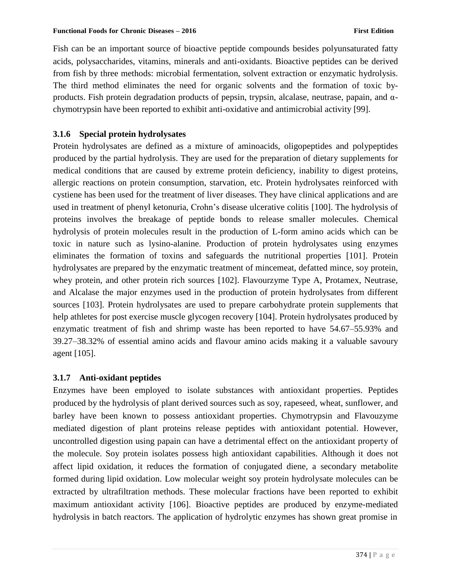#### **Functional Foods for Chronic Diseases – 2016 First Edition**

Fish can be an important source of bioactive peptide compounds besides polyunsaturated fatty acids, polysaccharides, vitamins, minerals and anti-oxidants. Bioactive peptides can be derived from fish by three methods: microbial fermentation, solvent extraction or enzymatic hydrolysis. The third method eliminates the need for organic solvents and the formation of toxic byproducts. Fish protein degradation products of pepsin, trypsin, alcalase, neutrase, papain, and  $\alpha$ chymotrypsin have been reported to exhibit anti-oxidative and antimicrobial activity [99].

# **3.1.6 Special protein hydrolysates**

Protein hydrolysates are defined as a mixture of aminoacids, oligopeptides and polypeptides produced by the partial hydrolysis. They are used for the preparation of dietary supplements for medical conditions that are caused by extreme protein deficiency, inability to digest proteins, allergic reactions on protein consumption, starvation, etc. Protein hydrolysates reinforced with cystiene has been used for the treatment of liver diseases. They have clinical applications and are used in treatment of phenyl ketonuria, Crohn's disease ulcerative colitis [100]. The hydrolysis of proteins involves the breakage of peptide bonds to release smaller molecules. Chemical hydrolysis of protein molecules result in the production of L-form amino acids which can be toxic in nature such as lysino-alanine. Production of protein hydrolysates using enzymes eliminates the formation of toxins and safeguards the nutritional properties [101]. Protein hydrolysates are prepared by the enzymatic treatment of mincemeat, defatted mince, soy protein, whey protein, and other protein rich sources [102]. Flavourzyme Type A, Protamex, Neutrase, and Alcalase the major enzymes used in the production of protein hydrolysates from different sources [103]. Protein hydrolysates are used to prepare carbohydrate protein supplements that help athletes for post exercise muscle glycogen recovery [104]. Protein hydrolysates produced by enzymatic treatment of fish and shrimp waste has been reported to have 54.67–55.93% and 39.27–38.32% of essential amino acids and flavour amino acids making it a valuable savoury agent [105].

#### **3.1.7 Anti-oxidant peptides**

Enzymes have been employed to isolate substances with antioxidant properties. Peptides produced by the hydrolysis of plant derived sources such as soy, rapeseed, wheat, sunflower, and barley have been known to possess antioxidant properties. Chymotrypsin and Flavouzyme mediated digestion of plant proteins release peptides with antioxidant potential. However, uncontrolled digestion using papain can have a detrimental effect on the antioxidant property of the molecule. Soy protein isolates possess high antioxidant capabilities. Although it does not affect lipid oxidation, it reduces the formation of conjugated diene, a secondary metabolite formed during lipid oxidation. Low molecular weight soy protein hydrolysate molecules can be extracted by ultrafiltration methods. These molecular fractions have been reported to exhibit maximum antioxidant activity [106]. Bioactive peptides are produced by enzyme-mediated hydrolysis in batch reactors. The application of hydrolytic enzymes has shown great promise in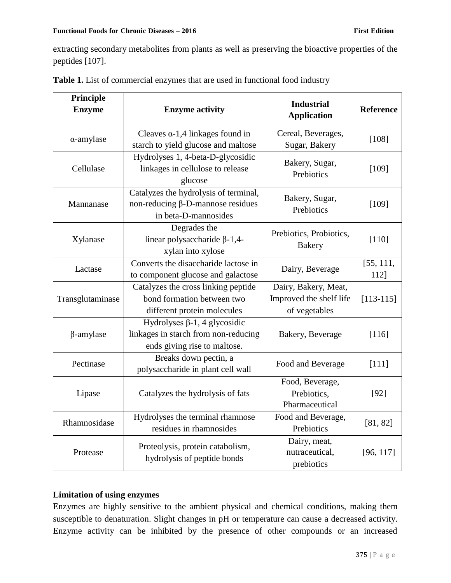extracting secondary metabolites from plants as well as preserving the bioactive properties of the peptides [107].

| Principle<br><b>Enzyme</b> | <b>Enzyme activity</b>                                                                                      | <b>Industrial</b><br><b>Application</b>                          | Reference         |
|----------------------------|-------------------------------------------------------------------------------------------------------------|------------------------------------------------------------------|-------------------|
| $\alpha$ -amylase          | Cleaves $\alpha$ -1,4 linkages found in<br>starch to yield glucose and maltose                              | Cereal, Beverages,<br>Sugar, Bakery                              | $[108]$           |
| Cellulase                  | Hydrolyses 1, 4-beta-D-glycosidic<br>linkages in cellulose to release<br>glucose                            | Bakery, Sugar,<br>Prebiotics                                     | [109]             |
| Mannanase                  | Catalyzes the hydrolysis of terminal,<br>non-reducing $\beta$ -D-mannose residues<br>in beta-D-mannosides   | Bakery, Sugar,<br>Prebiotics                                     | [109]             |
| Xylanase                   | Degrades the<br>linear polysaccharide $\beta$ -1,4-<br>xylan into xylose                                    | Prebiotics, Probiotics,<br><b>Bakery</b>                         | [110]             |
| Lactase                    | Converts the disaccharide lactose in<br>to component glucose and galactose                                  | Dairy, Beverage                                                  | [55, 111,<br>112] |
| Transglutaminase           | Catalyzes the cross linking peptide<br>bond formation between two<br>different protein molecules            | Dairy, Bakery, Meat,<br>Improved the shelf life<br>of vegetables | $[113 - 115]$     |
| $\beta$ -amylase           | Hydrolyses $\beta$ -1, 4 glycosidic<br>linkages in starch from non-reducing<br>ends giving rise to maltose. | Bakery, Beverage                                                 | [116]             |
| Pectinase                  | Breaks down pectin, a<br>polysaccharide in plant cell wall                                                  | Food and Beverage                                                | [111]             |
| Lipase                     | Catalyzes the hydrolysis of fats                                                                            | Food, Beverage,<br>Prebiotics,<br>Pharmaceutical                 | $[92]$            |
| Rhamnosidase               | Hydrolyses the terminal rhamnose<br>residues in rhamnosides                                                 | Food and Beverage,<br>Prebiotics                                 | [81, 82]          |
| Protease                   | Proteolysis, protein catabolism,<br>hydrolysis of peptide bonds                                             | Dairy, meat,<br>nutraceutical,<br>prebiotics                     | [96, 117]         |

|  | Table 1. List of commercial enzymes that are used in functional food industry |  |  |  |  |  |
|--|-------------------------------------------------------------------------------|--|--|--|--|--|
|  |                                                                               |  |  |  |  |  |

# **Limitation of using enzymes**

Enzymes are highly sensitive to the ambient physical and chemical conditions, making them susceptible to denaturation. Slight changes in pH or temperature can cause a decreased activity. Enzyme activity can be inhibited by the presence of other compounds or an increased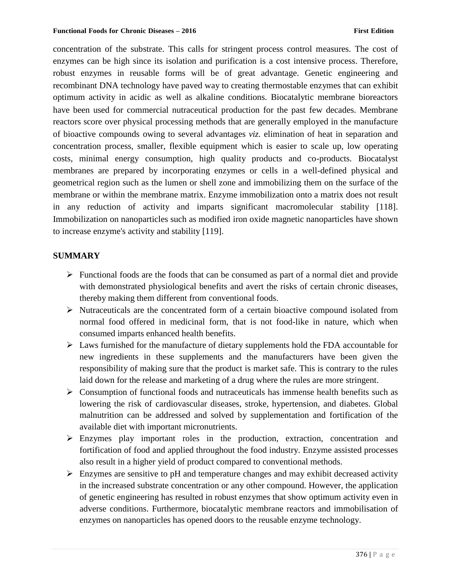concentration of the substrate. This calls for stringent process control measures. The cost of enzymes can be high since its isolation and purification is a cost intensive process. Therefore, robust enzymes in reusable forms will be of great advantage. Genetic engineering and recombinant DNA technology have paved way to creating thermostable enzymes that can exhibit optimum activity in acidic as well as alkaline conditions. Biocatalytic membrane bioreactors have been used for commercial nutraceutical production for the past few decades. Membrane reactors score over physical processing methods that are generally employed in the manufacture of bioactive compounds owing to several advantages *viz.* elimination of heat in separation and concentration process, smaller, flexible equipment which is easier to scale up, low operating costs, minimal energy consumption, high quality products and co-products. Biocatalyst membranes are prepared by incorporating enzymes or cells in a well-defined physical and geometrical region such as the lumen or shell zone and immobilizing them on the surface of the membrane or within the membrane matrix. Enzyme immobilization onto a matrix does not result in any reduction of activity and imparts significant macromolecular stability [118]. Immobilization on nanoparticles such as modified iron oxide magnetic nanoparticles have shown to increase enzyme's activity and stability [119].

## **SUMMARY**

- $\triangleright$  Functional foods are the foods that can be consumed as part of a normal diet and provide with demonstrated physiological benefits and avert the risks of certain chronic diseases, thereby making them different from conventional foods.
- $\triangleright$  Nutraceuticals are the concentrated form of a certain bioactive compound isolated from normal food offered in medicinal form, that is not food-like in nature, which when consumed imparts enhanced health benefits.
- Laws furnished for the manufacture of dietary supplements hold the FDA accountable for new ingredients in these supplements and the manufacturers have been given the responsibility of making sure that the product is market safe. This is contrary to the rules laid down for the release and marketing of a drug where the rules are more stringent.
- $\triangleright$  Consumption of functional foods and nutraceuticals has immense health benefits such as lowering the risk of cardiovascular diseases, stroke, hypertension, and diabetes. Global malnutrition can be addressed and solved by supplementation and fortification of the available diet with important micronutrients.
- Enzymes play important roles in the production, extraction, concentration and fortification of food and applied throughout the food industry. Enzyme assisted processes also result in a higher yield of product compared to conventional methods.
- $\triangleright$  Enzymes are sensitive to pH and temperature changes and may exhibit decreased activity in the increased substrate concentration or any other compound. However, the application of genetic engineering has resulted in robust enzymes that show optimum activity even in adverse conditions. Furthermore, biocatalytic membrane reactors and immobilisation of enzymes on nanoparticles has opened doors to the reusable enzyme technology.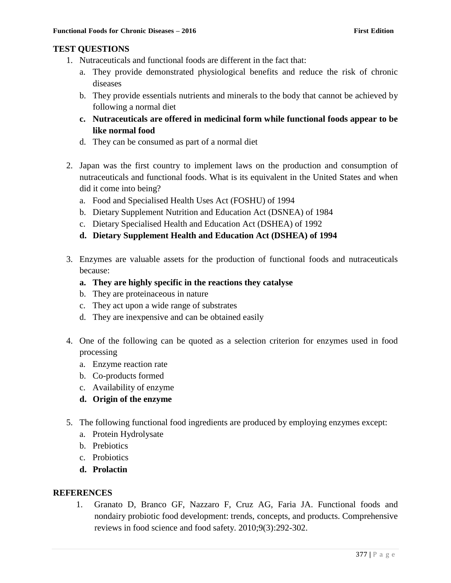# **TEST QUESTIONS**

- 1. Nutraceuticals and functional foods are different in the fact that:
	- a. They provide demonstrated physiological benefits and reduce the risk of chronic diseases
	- b. They provide essentials nutrients and minerals to the body that cannot be achieved by following a normal diet
	- **c. Nutraceuticals are offered in medicinal form while functional foods appear to be like normal food**
	- d. They can be consumed as part of a normal diet
- 2. Japan was the first country to implement laws on the production and consumption of nutraceuticals and functional foods. What is its equivalent in the United States and when did it come into being?
	- a. Food and Specialised Health Uses Act (FOSHU) of 1994
	- b. Dietary Supplement Nutrition and Education Act (DSNEA) of 1984
	- c. Dietary Specialised Health and Education Act (DSHEA) of 1992
	- **d. Dietary Supplement Health and Education Act (DSHEA) of 1994**
- 3. Enzymes are valuable assets for the production of functional foods and nutraceuticals because:
	- **a. They are highly specific in the reactions they catalyse**
	- b. They are proteinaceous in nature
	- c. They act upon a wide range of substrates
	- d. They are inexpensive and can be obtained easily
- 4. One of the following can be quoted as a selection criterion for enzymes used in food processing
	- a. Enzyme reaction rate
	- b. Co-products formed
	- c. Availability of enzyme
	- **d. Origin of the enzyme**
- 5. The following functional food ingredients are produced by employing enzymes except:
	- a. Protein Hydrolysate
	- b. Prebiotics
	- c. Probiotics
	- **d. Prolactin**

# **REFERENCES**

1. Granato D, Branco GF, Nazzaro F, Cruz AG, Faria JA. Functional foods and nondairy probiotic food development: trends, concepts, and products. Comprehensive reviews in food science and food safety. 2010;9(3):292-302.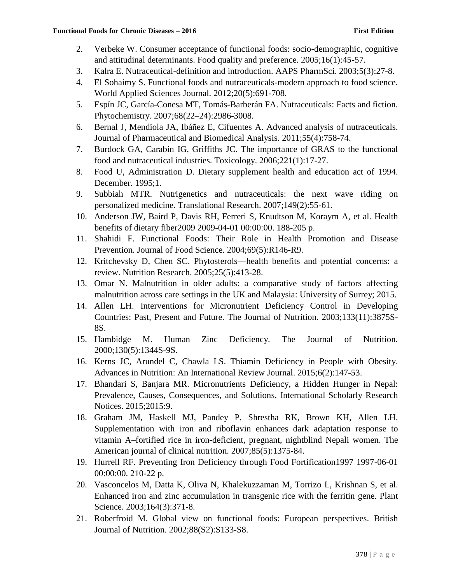- 2. Verbeke W. Consumer acceptance of functional foods: socio-demographic, cognitive and attitudinal determinants. Food quality and preference. 2005;16(1):45-57.
- 3. Kalra E. Nutraceutical-definition and introduction. AAPS PharmSci. 2003;5(3):27-8.
- 4. El Sohaimy S. Functional foods and nutraceuticals-modern approach to food science. World Applied Sciences Journal. 2012;20(5):691-708.
- 5. Espín JC, García-Conesa MT, Tomás-Barberán FA. Nutraceuticals: Facts and fiction. Phytochemistry. 2007;68(22–24):2986-3008.
- 6. Bernal J, Mendiola JA, Ibáñez E, Cifuentes A. Advanced analysis of nutraceuticals. Journal of Pharmaceutical and Biomedical Analysis. 2011;55(4):758-74.
- 7. Burdock GA, Carabin IG, Griffiths JC. The importance of GRAS to the functional food and nutraceutical industries. Toxicology. 2006;221(1):17-27.
- 8. Food U, Administration D. Dietary supplement health and education act of 1994. December. 1995;1.
- 9. Subbiah MTR. Nutrigenetics and nutraceuticals: the next wave riding on personalized medicine. Translational Research. 2007;149(2):55-61.
- 10. Anderson JW, Baird P, Davis RH, Ferreri S, Knudtson M, Koraym A, et al. Health benefits of dietary fiber2009 2009-04-01 00:00:00. 188-205 p.
- 11. Shahidi F. Functional Foods: Their Role in Health Promotion and Disease Prevention. Journal of Food Science. 2004;69(5):R146-R9.
- 12. Kritchevsky D, Chen SC. Phytosterols—health benefits and potential concerns: a review. Nutrition Research. 2005;25(5):413-28.
- 13. Omar N. Malnutrition in older adults: a comparative study of factors affecting malnutrition across care settings in the UK and Malaysia: University of Surrey; 2015.
- 14. Allen LH. Interventions for Micronutrient Deficiency Control in Developing Countries: Past, Present and Future. The Journal of Nutrition. 2003;133(11):3875S-8S.
- 15. Hambidge M. Human Zinc Deficiency. The Journal of Nutrition. 2000;130(5):1344S-9S.
- 16. Kerns JC, Arundel C, Chawla LS. Thiamin Deficiency in People with Obesity. Advances in Nutrition: An International Review Journal. 2015;6(2):147-53.
- 17. Bhandari S, Banjara MR. Micronutrients Deficiency, a Hidden Hunger in Nepal: Prevalence, Causes, Consequences, and Solutions. International Scholarly Research Notices. 2015;2015:9.
- 18. Graham JM, Haskell MJ, Pandey P, Shrestha RK, Brown KH, Allen LH. Supplementation with iron and riboflavin enhances dark adaptation response to vitamin A–fortified rice in iron-deficient, pregnant, nightblind Nepali women. The American journal of clinical nutrition. 2007;85(5):1375-84.
- 19. Hurrell RF. Preventing Iron Deficiency through Food Fortification1997 1997-06-01 00:00:00. 210-22 p.
- 20. Vasconcelos M, Datta K, Oliva N, Khalekuzzaman M, Torrizo L, Krishnan S, et al. Enhanced iron and zinc accumulation in transgenic rice with the ferritin gene. Plant Science. 2003;164(3):371-8.
- 21. Roberfroid M. Global view on functional foods: European perspectives. British Journal of Nutrition. 2002;88(S2):S133-S8.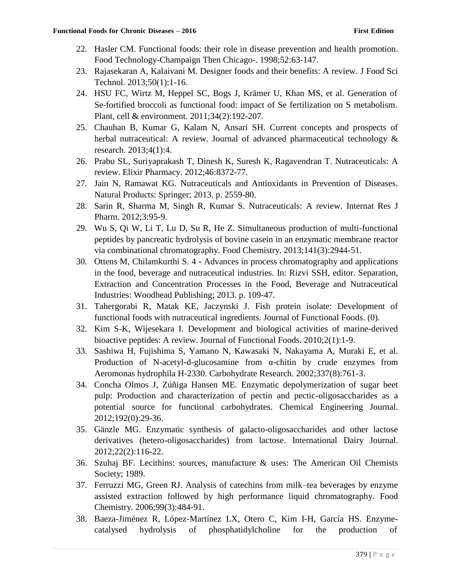- 22. Hasler CM. Functional foods: their role in disease prevention and health promotion. Food Technology-Champaign Then Chicago-. 1998;52:63-147.
- 23. Rajasekaran A, Kalaivani M. Designer foods and their benefits: A review. J Food Sci Technol. 2013;50(1):1-16.
- 24. HSU FC, Wirtz M, Heppel SC, Bogs J, Krämer U, Khan MS, et al. Generation of Se-fortified broccoli as functional food: impact of Se fertilization on S metabolism. Plant, cell & environment. 2011;34(2):192-207.
- 25. Chauhan B, Kumar G, Kalam N, Ansari SH. Current concepts and prospects of herbal nutraceutical: A review. Journal of advanced pharmaceutical technology & research. 2013;4(1):4.
- 26. Prabu SL, Suriyaprakash T, Dinesh K, Suresh K, Ragavendran T. Nutraceuticals: A review. Elixir Pharmacy. 2012;46:8372-77.
- 27. Jain N, Ramawat KG. Nutraceuticals and Antioxidants in Prevention of Diseases. Natural Products: Springer; 2013. p. 2559-80.
- 28. Sarin R, Sharma M, Singh R, Kumar S. Nutraceuticals: A review. Internat Res J Pharm. 2012;3:95-9.
- 29. Wu S, Qi W, Li T, Lu D, Su R, He Z. Simultaneous production of multi-functional peptides by pancreatic hydrolysis of bovine casein in an enzymatic membrane reactor via combinational chromatography. Food Chemistry. 2013;141(3):2944-51.
- 30. Ottens M, Chilamkurthi S. 4 Advances in process chromatography and applications in the food, beverage and nutraceutical industries. In: Rizvi SSH, editor. Separation, Extraction and Concentration Processes in the Food, Beverage and Nutraceutical Industries: Woodhead Publishing; 2013. p. 109-47.
- 31. Tahergorabi R, Matak KE, Jaczynski J. Fish protein isolate: Development of functional foods with nutraceutical ingredients. Journal of Functional Foods. (0).
- 32. Kim S-K, Wijesekara I. Development and biological activities of marine-derived bioactive peptides: A review. Journal of Functional Foods. 2010;2(1):1-9.
- 33. Sashiwa H, Fujishima S, Yamano N, Kawasaki N, Nakayama A, Muraki E, et al. Production of N-acetyl-d-glucosamine from α-chitin by crude enzymes from Aeromonas hydrophila H-2330. Carbohydrate Research. 2002;337(8):761-3.
- 34. Concha Olmos J, Zúñiga Hansen ME. Enzymatic depolymerization of sugar beet pulp: Production and characterization of pectin and pectic-oligosaccharides as a potential source for functional carbohydrates. Chemical Engineering Journal. 2012;192(0):29-36.
- 35. Gänzle MG. Enzymatic synthesis of galacto-oligosaccharides and other lactose derivatives (hetero-oligosaccharides) from lactose. International Dairy Journal. 2012;22(2):116-22.
- 36. Szuhaj BF. Lecithins: sources, manufacture & uses: The American Oil Chemists Society; 1989.
- 37. Ferruzzi MG, Green RJ. Analysis of catechins from milk–tea beverages by enzyme assisted extraction followed by high performance liquid chromatography. Food Chemistry. 2006;99(3):484-91.
- 38. Baeza-Jiménez R, López-Martínez LX, Otero C, Kim I-H, García HS. Enzymecatalysed hydrolysis of phosphatidylcholine for the production of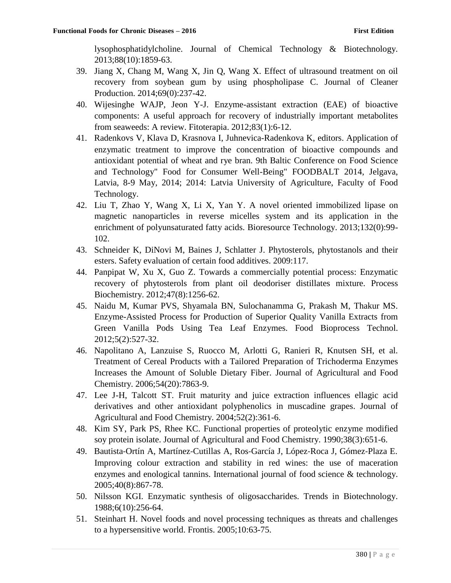lysophosphatidylcholine. Journal of Chemical Technology & Biotechnology. 2013;88(10):1859-63.

- 39. Jiang X, Chang M, Wang X, Jin Q, Wang X. Effect of ultrasound treatment on oil recovery from soybean gum by using phospholipase C. Journal of Cleaner Production. 2014;69(0):237-42.
- 40. Wijesinghe WAJP, Jeon Y-J. Enzyme-assistant extraction (EAE) of bioactive components: A useful approach for recovery of industrially important metabolites from seaweeds: A review. Fitoterapia. 2012;83(1):6-12.
- 41. Radenkovs V, Klava D, Krasnova I, Juhnevica-Radenkova K, editors. Application of enzymatic treatment to improve the concentration of bioactive compounds and antioxidant potential of wheat and rye bran. 9th Baltic Conference on Food Science and Technology" Food for Consumer Well-Being" FOODBALT 2014, Jelgava, Latvia, 8-9 May, 2014; 2014: Latvia University of Agriculture, Faculty of Food Technology.
- 42. Liu T, Zhao Y, Wang X, Li X, Yan Y. A novel oriented immobilized lipase on magnetic nanoparticles in reverse micelles system and its application in the enrichment of polyunsaturated fatty acids. Bioresource Technology. 2013;132(0):99- 102.
- 43. Schneider K, DiNovi M, Baines J, Schlatter J. Phytosterols, phytostanols and their esters. Safety evaluation of certain food additives. 2009:117.
- 44. Panpipat W, Xu X, Guo Z. Towards a commercially potential process: Enzymatic recovery of phytosterols from plant oil deodoriser distillates mixture. Process Biochemistry. 2012;47(8):1256-62.
- 45. Naidu M, Kumar PVS, Shyamala BN, Sulochanamma G, Prakash M, Thakur MS. Enzyme-Assisted Process for Production of Superior Quality Vanilla Extracts from Green Vanilla Pods Using Tea Leaf Enzymes. Food Bioprocess Technol. 2012;5(2):527-32.
- 46. Napolitano A, Lanzuise S, Ruocco M, Arlotti G, Ranieri R, Knutsen SH, et al. Treatment of Cereal Products with a Tailored Preparation of Trichoderma Enzymes Increases the Amount of Soluble Dietary Fiber. Journal of Agricultural and Food Chemistry. 2006;54(20):7863-9.
- 47. Lee J-H, Talcott ST. Fruit maturity and juice extraction influences ellagic acid derivatives and other antioxidant polyphenolics in muscadine grapes. Journal of Agricultural and Food Chemistry. 2004;52(2):361-6.
- 48. Kim SY, Park PS, Rhee KC. Functional properties of proteolytic enzyme modified soy protein isolate. Journal of Agricultural and Food Chemistry. 1990;38(3):651-6.
- 49. Bautista‐Ortín A, Martínez‐Cutillas A, Ros‐García J, López‐Roca J, Gómez‐Plaza E. Improving colour extraction and stability in red wines: the use of maceration enzymes and enological tannins. International journal of food science & technology. 2005;40(8):867-78.
- 50. Nilsson KGI. Enzymatic synthesis of oligosaccharides. Trends in Biotechnology. 1988;6(10):256-64.
- 51. Steinhart H. Novel foods and novel processing techniques as threats and challenges to a hypersensitive world. Frontis. 2005;10:63-75.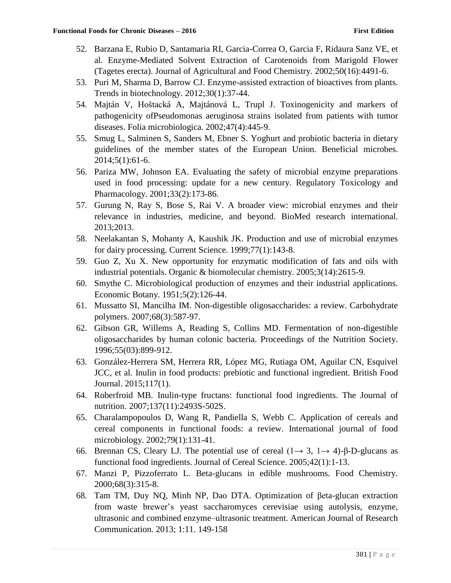- 52. Barzana E, Rubio D, Santamaria RI, Garcia-Correa O, Garcia F, Ridaura Sanz VE, et al. Enzyme-Mediated Solvent Extraction of Carotenoids from Marigold Flower (Tagetes erecta). Journal of Agricultural and Food Chemistry. 2002;50(16):4491-6.
- 53. Puri M, Sharma D, Barrow CJ. Enzyme-assisted extraction of bioactives from plants. Trends in biotechnology. 2012;30(1):37-44.
- 54. Majtán V, Hoštacká A, Majtánová L, Trupl J. Toxinogenicity and markers of pathogenicity ofPseudomonas aeruginosa strains isolated from patients with tumor diseases. Folia microbiologica. 2002;47(4):445-9.
- 55. Smug L, Salminen S, Sanders M, Ebner S. Yoghurt and probiotic bacteria in dietary guidelines of the member states of the European Union. Beneficial microbes. 2014;5(1):61-6.
- 56. Pariza MW, Johnson EA. Evaluating the safety of microbial enzyme preparations used in food processing: update for a new century. Regulatory Toxicology and Pharmacology. 2001;33(2):173-86.
- 57. Gurung N, Ray S, Bose S, Rai V. A broader view: microbial enzymes and their relevance in industries, medicine, and beyond. BioMed research international. 2013;2013.
- 58. Neelakantan S, Mohanty A, Kaushik JK. Production and use of microbial enzymes for dairy processing. Current Science. 1999;77(1):143-8.
- 59. Guo Z, Xu X. New opportunity for enzymatic modification of fats and oils with industrial potentials. Organic & biomolecular chemistry. 2005;3(14):2615-9.
- 60. Smythe C. Microbiological production of enzymes and their industrial applications. Economic Botany. 1951;5(2):126-44.
- 61. Mussatto SI, Mancilha IM. Non-digestible oligosaccharides: a review. Carbohydrate polymers. 2007;68(3):587-97.
- 62. Gibson GR, Willems A, Reading S, Collins MD. Fermentation of non-digestible oligosaccharides by human colonic bacteria. Proceedings of the Nutrition Society. 1996;55(03):899-912.
- 63. González-Herrera SM, Herrera RR, López MG, Rutiaga OM, Aguilar CN, Esquivel JCC, et al. Inulin in food products: prebiotic and functional ingredient. British Food Journal. 2015;117(1).
- 64. Roberfroid MB. Inulin-type fructans: functional food ingredients. The Journal of nutrition. 2007;137(11):2493S-502S.
- 65. Charalampopoulos D, Wang R, Pandiella S, Webb C. Application of cereals and cereal components in functional foods: a review. International journal of food microbiology. 2002;79(1):131-41.
- 66. Brennan CS, Cleary LJ. The potential use of cereal  $(1 \rightarrow 3, 1 \rightarrow 4)$ -β-D-glucans as functional food ingredients. Journal of Cereal Science. 2005;42(1):1-13.
- 67. Manzi P, Pizzoferrato L. Beta-glucans in edible mushrooms. Food Chemistry. 2000;68(3):315-8.
- 68. Tam TM, Duy NQ, Minh NP, Dao DTA. Optimization of βeta-glucan extraction from waste brewer's yeast saccharomyces cerevisiae using autolysis, enzyme, ultrasonic and combined enzyme–ultrasonic treatment. American Journal of Research Communication. 2013; 1:11. 149-158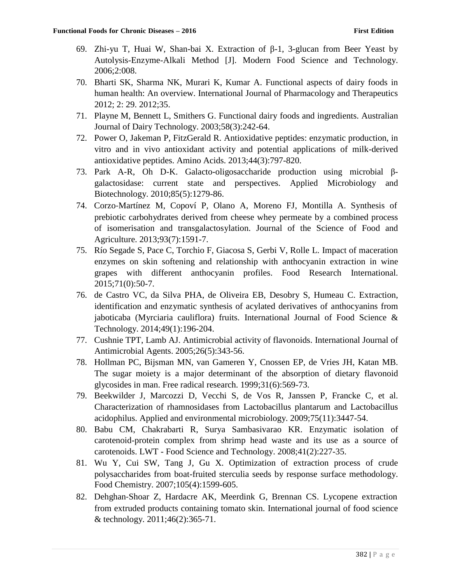- 69. Zhi-yu T, Huai W, Shan-bai X. Extraction of β-1, 3-glucan from Beer Yeast by Autolysis-Enzyme-Alkali Method [J]. Modern Food Science and Technology. 2006;2:008.
- 70. Bharti SK, Sharma NK, Murari K, Kumar A. Functional aspects of dairy foods in human health: An overview. International Journal of Pharmacology and Therapeutics 2012; 2: 29. 2012;35.
- 71. Playne M, Bennett L, Smithers G. Functional dairy foods and ingredients. Australian Journal of Dairy Technology. 2003;58(3):242-64.
- 72. Power O, Jakeman P, FitzGerald R. Antioxidative peptides: enzymatic production, in vitro and in vivo antioxidant activity and potential applications of milk-derived antioxidative peptides. Amino Acids. 2013;44(3):797-820.
- 73. Park A-R, Oh D-K. Galacto-oligosaccharide production using microbial βgalactosidase: current state and perspectives. Applied Microbiology and Biotechnology. 2010;85(5):1279-86.
- 74. Corzo‐Martínez M, Copoví P, Olano A, Moreno FJ, Montilla A. Synthesis of prebiotic carbohydrates derived from cheese whey permeate by a combined process of isomerisation and transgalactosylation. Journal of the Science of Food and Agriculture. 2013;93(7):1591-7.
- 75. Río Segade S, Pace C, Torchio F, Giacosa S, Gerbi V, Rolle L. Impact of maceration enzymes on skin softening and relationship with anthocyanin extraction in wine grapes with different anthocyanin profiles. Food Research International. 2015;71(0):50-7.
- 76. de Castro VC, da Silva PHA, de Oliveira EB, Desobry S, Humeau C. Extraction, identification and enzymatic synthesis of acylated derivatives of anthocyanins from jaboticaba (Myrciaria cauliflora) fruits. International Journal of Food Science & Technology. 2014;49(1):196-204.
- 77. Cushnie TPT, Lamb AJ. Antimicrobial activity of flavonoids. International Journal of Antimicrobial Agents. 2005;26(5):343-56.
- 78. Hollman PC, Bijsman MN, van Gameren Y, Cnossen EP, de Vries JH, Katan MB. The sugar moiety is a major determinant of the absorption of dietary flavonoid glycosides in man. Free radical research. 1999;31(6):569-73.
- 79. Beekwilder J, Marcozzi D, Vecchi S, de Vos R, Janssen P, Francke C, et al. Characterization of rhamnosidases from Lactobacillus plantarum and Lactobacillus acidophilus. Applied and environmental microbiology. 2009;75(11):3447-54.
- 80. Babu CM, Chakrabarti R, Surya Sambasivarao KR. Enzymatic isolation of carotenoid-protein complex from shrimp head waste and its use as a source of carotenoids. LWT - Food Science and Technology. 2008;41(2):227-35.
- 81. Wu Y, Cui SW, Tang J, Gu X. Optimization of extraction process of crude polysaccharides from boat-fruited sterculia seeds by response surface methodology. Food Chemistry. 2007;105(4):1599-605.
- 82. Dehghan‐Shoar Z, Hardacre AK, Meerdink G, Brennan CS. Lycopene extraction from extruded products containing tomato skin. International journal of food science & technology. 2011;46(2):365-71.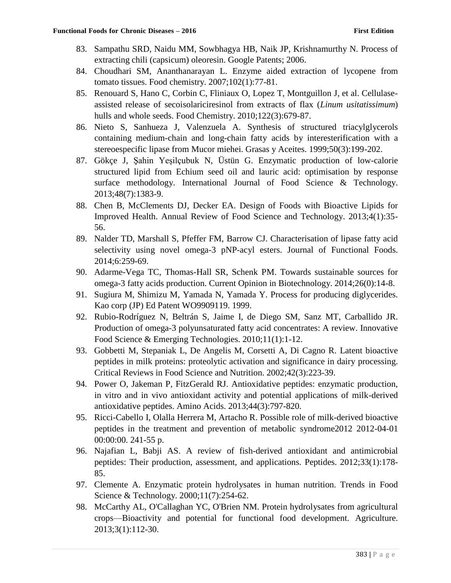- 83. Sampathu SRD, Naidu MM, Sowbhagya HB, Naik JP, Krishnamurthy N. Process of extracting chili (capsicum) oleoresin. Google Patents; 2006.
- 84. Choudhari SM, Ananthanarayan L. Enzyme aided extraction of lycopene from tomato tissues. Food chemistry. 2007;102(1):77-81.
- 85. Renouard S, Hano C, Corbin C, Fliniaux O, Lopez T, Montguillon J, et al. Cellulaseassisted release of secoisolariciresinol from extracts of flax (*Linum usitatissimum*) hulls and whole seeds. Food Chemistry. 2010;122(3):679-87.
- 86. Nieto S, Sanhueza J, Valenzuela A. Synthesis of structured triacylglycerols containing medium-chain and long-chain fatty acids by interesterification with a stereoespecific lipase from Mucor miehei. Grasas y Aceites. 1999;50(3):199-202.
- 87. Gökçe J, Şahin Yeşilçubuk N, Üstün G. Enzymatic production of low-calorie structured lipid from Echium seed oil and lauric acid: optimisation by response surface methodology. International Journal of Food Science & Technology. 2013;48(7):1383-9.
- 88. Chen B, McClements DJ, Decker EA. Design of Foods with Bioactive Lipids for Improved Health. Annual Review of Food Science and Technology. 2013;4(1):35- 56.
- 89. Nalder TD, Marshall S, Pfeffer FM, Barrow CJ. Characterisation of lipase fatty acid selectivity using novel omega-3 pNP-acyl esters. Journal of Functional Foods. 2014;6:259-69.
- 90. Adarme-Vega TC, Thomas-Hall SR, Schenk PM. Towards sustainable sources for omega-3 fatty acids production. Current Opinion in Biotechnology. 2014;26(0):14-8.
- 91. Sugiura M, Shimizu M, Yamada N, Yamada Y. Process for producing diglycerides. Kao corp (JP) Ed Patent WO9909119. 1999.
- 92. Rubio-Rodríguez N, Beltrán S, Jaime I, de Diego SM, Sanz MT, Carballido JR. Production of omega-3 polyunsaturated fatty acid concentrates: A review. Innovative Food Science & Emerging Technologies. 2010;11(1):1-12.
- 93. Gobbetti M, Stepaniak L, De Angelis M, Corsetti A, Di Cagno R. Latent bioactive peptides in milk proteins: proteolytic activation and significance in dairy processing. Critical Reviews in Food Science and Nutrition. 2002;42(3):223-39.
- 94. Power O, Jakeman P, FitzGerald RJ. Antioxidative peptides: enzymatic production, in vitro and in vivo antioxidant activity and potential applications of milk-derived antioxidative peptides. Amino Acids. 2013;44(3):797-820.
- 95. Ricci-Cabello I, Olalla Herrera M, Artacho R. Possible role of milk-derived bioactive peptides in the treatment and prevention of metabolic syndrome2012 2012-04-01 00:00:00. 241-55 p.
- 96. Najafian L, Babji AS. A review of fish-derived antioxidant and antimicrobial peptides: Their production, assessment, and applications. Peptides. 2012;33(1):178- 85.
- 97. Clemente A. Enzymatic protein hydrolysates in human nutrition. Trends in Food Science & Technology. 2000;11(7):254-62.
- 98. McCarthy AL, O'Callaghan YC, O'Brien NM. Protein hydrolysates from agricultural crops—Bioactivity and potential for functional food development. Agriculture. 2013;3(1):112-30.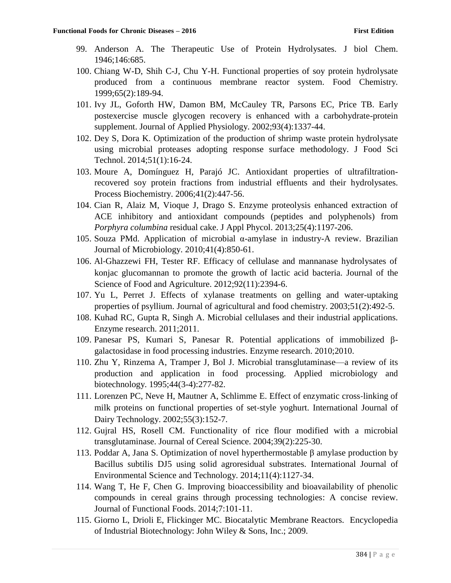- 99. Anderson A. The Therapeutic Use of Protein Hydrolysates. J biol Chem. 1946;146:685.
- 100. Chiang W-D, Shih C-J, Chu Y-H. Functional properties of soy protein hydrolysate produced from a continuous membrane reactor system. Food Chemistry. 1999;65(2):189-94.
- 101. Ivy JL, Goforth HW, Damon BM, McCauley TR, Parsons EC, Price TB. Early postexercise muscle glycogen recovery is enhanced with a carbohydrate-protein supplement. Journal of Applied Physiology. 2002;93(4):1337-44.
- 102. Dey S, Dora K. Optimization of the production of shrimp waste protein hydrolysate using microbial proteases adopting response surface methodology. J Food Sci Technol. 2014;51(1):16-24.
- 103. Moure A, Domínguez H, Parajó JC. Antioxidant properties of ultrafiltrationrecovered soy protein fractions from industrial effluents and their hydrolysates. Process Biochemistry. 2006;41(2):447-56.
- 104. Cian R, Alaiz M, Vioque J, Drago S. Enzyme proteolysis enhanced extraction of ACE inhibitory and antioxidant compounds (peptides and polyphenols) from *Porphyra columbina* residual cake. J Appl Phycol. 2013;25(4):1197-206.
- 105. Souza PMd. Application of microbial α-amylase in industry-A review. Brazilian Journal of Microbiology. 2010;41(4):850-61.
- 106. Al‐Ghazzewi FH, Tester RF. Efficacy of cellulase and mannanase hydrolysates of konjac glucomannan to promote the growth of lactic acid bacteria. Journal of the Science of Food and Agriculture. 2012;92(11):2394-6.
- 107. Yu L, Perret J. Effects of xylanase treatments on gelling and water-uptaking properties of psyllium. Journal of agricultural and food chemistry. 2003;51(2):492-5.
- 108. Kuhad RC, Gupta R, Singh A. Microbial cellulases and their industrial applications. Enzyme research. 2011;2011.
- 109. Panesar PS, Kumari S, Panesar R. Potential applications of immobilized βgalactosidase in food processing industries. Enzyme research. 2010;2010.
- 110. Zhu Y, Rinzema A, Tramper J, Bol J. Microbial transglutaminase—a review of its production and application in food processing. Applied microbiology and biotechnology. 1995;44(3-4):277-82.
- 111. Lorenzen PC, Neve H, Mautner A, Schlimme E. Effect of enzymatic cross-linking of milk proteins on functional properties of set‐style yoghurt. International Journal of Dairy Technology. 2002;55(3):152-7.
- 112. Gujral HS, Rosell CM. Functionality of rice flour modified with a microbial transglutaminase. Journal of Cereal Science. 2004;39(2):225-30.
- 113. Poddar A, Jana S. Optimization of novel hyperthermostable β amylase production by Bacillus subtilis DJ5 using solid agroresidual substrates. International Journal of Environmental Science and Technology. 2014;11(4):1127-34.
- 114. Wang T, He F, Chen G. Improving bioaccessibility and bioavailability of phenolic compounds in cereal grains through processing technologies: A concise review. Journal of Functional Foods. 2014;7:101-11.
- 115. Giorno L, Drioli E, Flickinger MC. Biocatalytic Membrane Reactors. Encyclopedia of Industrial Biotechnology: John Wiley & Sons, Inc.; 2009.